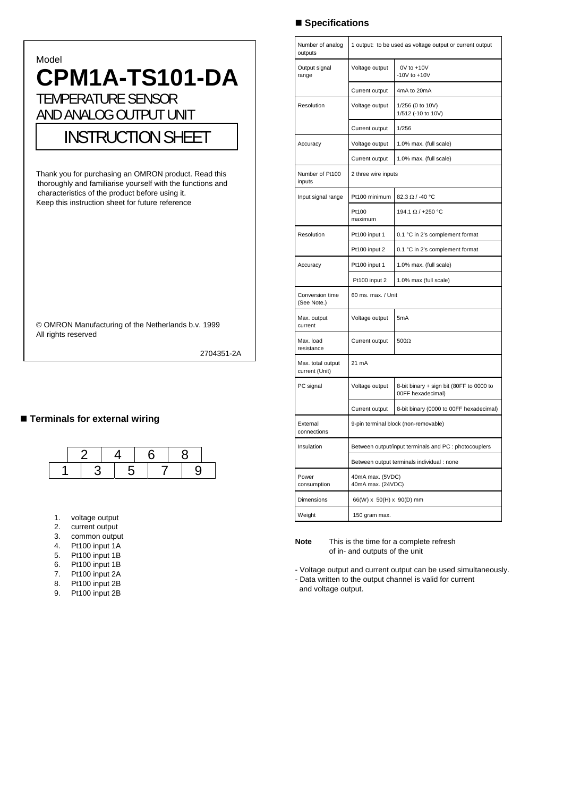# Model  **CPM1A-TS101-DA**  TEMPERATURE SENSOR AND ANALOG OUTPUT UNIT INSTRUCTION SHEET Thank you for purchasing an OMRON product. Read this thoroughly and familiarise yourself with the functions and characteristics of the product before using it. Keep this instruction sheet for future reference © OMRON Manufacturing of the Netherlands b.v. 1999 All rights reserved 2704351-2A

# **Terminals for external wiring**



- 1. voltage output
- 2. current output
- 3. common output
- 4. Pt100 input 1A 5. Pt100 input 1B
- 
- 6. Pt100 input 1B Pt100 input 2A
- 
- 8. Pt100 input 2B Pt100 input 2B

# **Specifications**

| Number of analog<br>outputs         | 1 output: to be used as voltage output or current output |                                                               |  |  |  |  |  |
|-------------------------------------|----------------------------------------------------------|---------------------------------------------------------------|--|--|--|--|--|
| Output signal<br>range              | Voltage output                                           | 0V to +10V<br>-10V to $+10V$                                  |  |  |  |  |  |
|                                     | Current output                                           | 4mA to 20mA                                                   |  |  |  |  |  |
| Resolution                          | Voltage output                                           | 1/256 (0 to 10V)<br>1/512 (-10 to 10V)                        |  |  |  |  |  |
|                                     | Current output                                           | 1/256                                                         |  |  |  |  |  |
| Accuracy                            | Voltage output                                           | 1.0% max. (full scale)                                        |  |  |  |  |  |
|                                     | Current output                                           | 1.0% max. (full scale)                                        |  |  |  |  |  |
| Number of Pt100<br>inputs           | 2 three wire inputs                                      |                                                               |  |  |  |  |  |
| Input signal range                  | Pt100 minimum                                            | 82.3 Ω / -40 °C                                               |  |  |  |  |  |
|                                     | Pt100<br>maximum                                         | 194.1 Ω / +250 °C                                             |  |  |  |  |  |
| Resolution                          | Pt100 input 1                                            | 0.1 °C in 2's complement format                               |  |  |  |  |  |
|                                     | Pt100 input 2                                            | 0.1 °C in 2's complement format                               |  |  |  |  |  |
| Accuracy                            | Pt100 input 1                                            | 1.0% max. (full scale)                                        |  |  |  |  |  |
|                                     | Pt100 input 2                                            | 1.0% max (full scale)                                         |  |  |  |  |  |
| Conversion time<br>(See Note.)      | 60 ms. max. / Unit                                       |                                                               |  |  |  |  |  |
| Max. output<br>current              | Voltage output                                           | 5mA                                                           |  |  |  |  |  |
| Max. load<br>resistance             | Current output                                           | $500\Omega$                                                   |  |  |  |  |  |
| Max. total output<br>current (Unit) | 21 mA                                                    |                                                               |  |  |  |  |  |
| PC signal                           | Voltage output                                           | 8-bit binary + sign bit (80FF to 0000 to<br>00FF hexadecimal) |  |  |  |  |  |
|                                     | Current output                                           | 8-bit binary (0000 to 00FF hexadecimal)                       |  |  |  |  |  |
| External<br>connections             | 9-pin terminal block (non-removable)                     |                                                               |  |  |  |  |  |
| Insulation                          | Between output/input terminals and PC : photocouplers    |                                                               |  |  |  |  |  |
|                                     | Between output terminals individual : none               |                                                               |  |  |  |  |  |
| Power<br>consumption                | 40mA max. (5VDC)<br>40mA max. (24VDC)                    |                                                               |  |  |  |  |  |
| Dimensions                          | 66(W) x 50(H) x 90(D) mm                                 |                                                               |  |  |  |  |  |
| Weight                              | 150 gram max.                                            |                                                               |  |  |  |  |  |

**Note** This is the time for a complete refresh of in- and outputs of the unit

- Voltage output and current output can be used simultaneously.

- Data written to the output channel is valid for current and voltage output.